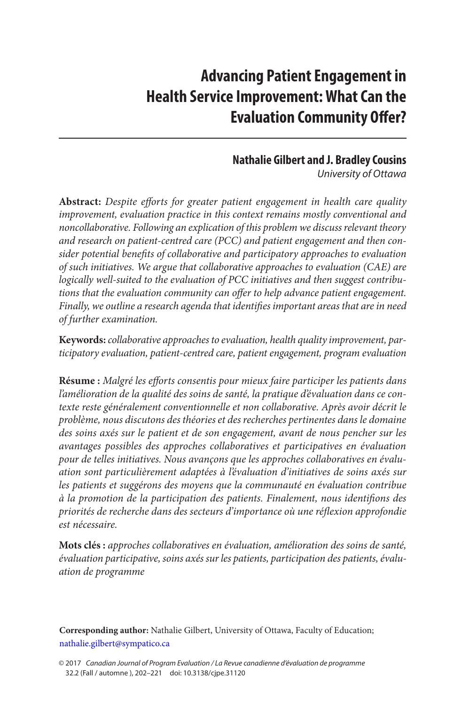# **Advancing Patient Engagement in Health Service Improvement: What Can the Evaluation Community Offer?**

# **Nathalie Gilbert and J. Bradley Cousins**

*University of Ottawa*

**Abstract:** *Despite efforts for greater patient engagement in health care quality improvement, evaluation practice in this context remains mostly conventional and noncollaborative. Following an explication of this problem we discuss relevant theory and research on patient-centred care (PCC) and patient engagement and then consider potential benefits of collaborative and participatory approaches to evaluation of such initiatives. We argue that collaborative approaches to evaluation (CAE) are logically well-suited to the evaluation of PCC initiatives and then suggest contributions that the evaluation community can offer to help advance patient engagement. Finally, we outline a research agenda that identifies important areas that are in need of further examination.*

**Keywords:** *collaborative approaches to evaluation, health quality improvement, participatory evaluation, patient-centred care, patient engagement, program evaluation*

**Résume :** *Malgré les efforts consentis pour mieux faire participer les patients dans l'amélioration de la qualité des soins de santé, la pratique d'évaluation dans ce contexte reste généralement conventionnelle et non collaborative. Après avoir décrit le problème, nous discutons des théories et des recherches pertinentes dans le domaine des soins axés sur le patient et de son engagement, avant de nous pencher sur les avantages possibles des approches collaboratives et participatives en évaluation pour de telles initiatives. Nous avançons que les approches collaboratives en évaluation sont particulièrement adaptées à l'évaluation d'initiatives de soins axés sur*  les patients et suggérons des moyens que la communauté en évaluation contribue *à la promotion de la participation des patients. Finalement, nous identifions des priorités de recherche dans des secteurs d'importance où une réflexion approfondie est nécessaire.*

**Mots clés :** *approches collaboratives en évaluation, amélioration des soins de santé, évaluation participative, soins axés sur les patients, participation des patients, évaluation de programme*

**Corresponding author:** Nathalie Gilbert, University of Ottawa, Faculty of Education; [nathalie.gilbert@sympatico.ca](mailto:nathalie.gilbert@sympatico.ca)

<sup>© 2017</sup> *Canadian Journal of Program Evaluation / La Revue canadienne d'évaluation de programme* 32.2 (Fall / automne ), 202–221 doi: 10.3138/cjpe.31120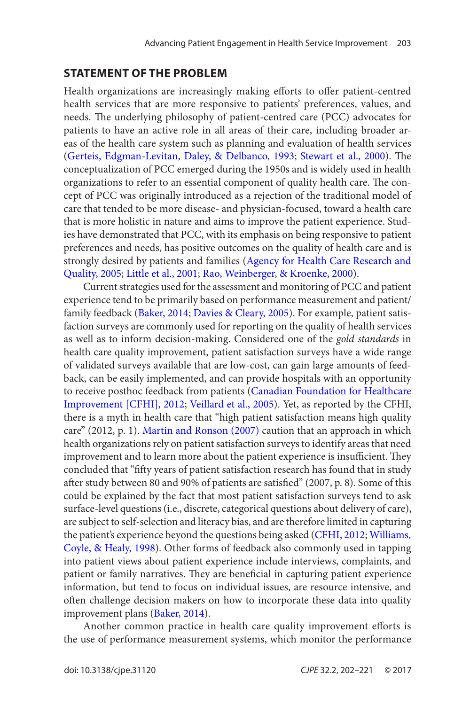#### <span id="page-1-0"></span>**Statement of the Problem**

Health organizations are increasingly making efforts to offer patient-centred health services that are more responsive to patients' preferences, values, and needs. The underlying philosophy of patient-centred care (PCC) advocates for patients to have an active role in all areas of their care, including broader areas of the health care system such as planning and evaluation of health services ([Gerteis, Edgman-Levitan, Daley, & Delbanco, 1993](#page-17-0); [Stewart et al., 2000](#page-19-0)). The conceptualization of PCC emerged during the 1950s and is widely used in health organizations to refer to an essential component of quality health care. The concept of PCC was originally introduced as a rejection of the traditional model of care that tended to be more disease- and physician-focused, toward a health care that is more holistic in nature and aims to improve the patient experience. Studies have demonstrated that PCC, with its emphasis on being responsive to patient preferences and needs, has positive outcomes on the quality of health care and is strongly desired by patients and families ([Agency for Health Care Research and](#page-15-0) [Quality, 2005;](#page-15-0) [Little et al., 2001](#page-18-0); [Rao, Weinberger, & Kroenke, 2000](#page-18-0)).

Current strategies used for the assessment and monitoring of PCC and patient experience tend to be primarily based on performance measurement and patient/ family feedback ([Baker, 2014](#page-16-0); [Davies & Cleary, 2005](#page-17-0)). For example, patient satisfaction surveys are commonly used for reporting on the quality of health services as well as to inform decision-making. Considered one of the *gold standards* in health care quality improvement, patient satisfaction surveys have a wide range of validated surveys available that are low-cost, can gain large amounts of feedback, can be easily implemented, and can provide hospitals with an opportunity to receive posthoc feedback from patients ([Canadian Foundation for Healthcare](#page-16-0)  [Improvement \[CFHI\], 2012](#page-16-0); [Veillard et al., 2005](#page-19-0)). Yet, as reported by the CFHI, there is a myth in health care that "high patient satisfaction means high quality care" (2012, p. 1). [Martin and Ronson \(2007\)](#page-18-0) caution that an approach in which health organizations rely on patient satisfaction surveys to identify areas that need improvement and to learn more about the patient experience is insufficient. They concluded that "fifty years of patient satisfaction research has found that in study after study between 80 and 90% of patients are satisfied" (2007, p. 8). Some of this could be explained by the fact that most patient satisfaction surveys tend to ask surface-level questions (i.e., discrete, categorical questions about delivery of care), are subject to self-selection and literacy bias, and are therefore limited in capturing the patient's experience beyond the questions being asked ([CFHI, 2012](#page-16-0); [Williams,](#page-19-0)  [Coyle, & Healy, 1998](#page-19-0)). Other forms of feedback also commonly used in tapping into patient views about patient experience include interviews, complaints, and patient or family narratives. They are beneficial in capturing patient experience information, but tend to focus on individual issues, are resource intensive, and often challenge decision makers on how to incorporate these data into quality improvement plans ([Baker, 2014\)](#page-16-0).

Another common practice in health care quality improvement efforts is the use of performance measurement systems, which monitor the performance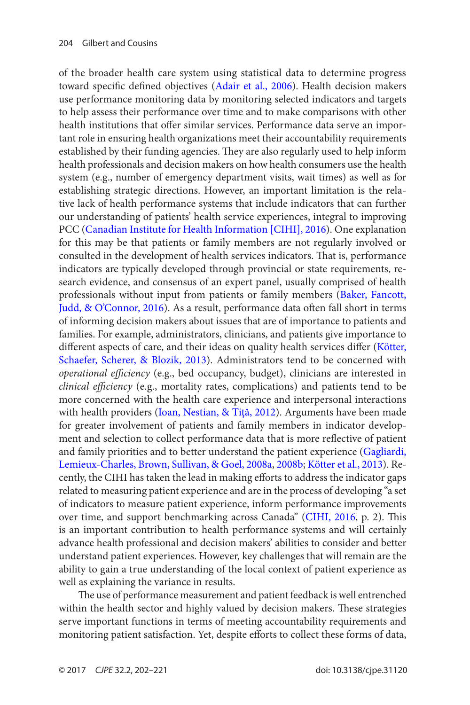<span id="page-2-0"></span>of the broader health care system using statistical data to determine progress toward specific defined objectives ([Adair et al., 2006](#page-15-0)). Health decision makers use performance monitoring data by monitoring selected indicators and targets to help assess their performance over time and to make comparisons with other health institutions that offer similar services. Performance data serve an important role in ensuring health organizations meet their accountability requirements established by their funding agencies. They are also regularly used to help inform health professionals and decision makers on how health consumers use the health system (e.g., number of emergency department visits, wait times) as well as for establishing strategic directions. However, an important limitation is the relative lack of health performance systems that include indicators that can further our understanding of patients' health service experiences, integral to improving PCC ([Canadian Institute for Health Information \[CIHI\], 2016\)](#page-16-0). One explanation for this may be that patients or family members are not regularly involved or consulted in the development of health services indicators. That is, performance indicators are typically developed through provincial or state requirements, research evidence, and consensus of an expert panel, usually comprised of health professionals without input from patients or family members ([Baker, Fancott,](#page-16-0) [Judd, & O'Connor, 2016\)](#page-16-0). As a result, performance data often fall short in terms of informing decision makers about issues that are of importance to patients and families. For example, administrators, clinicians, and patients give importance to different aspects of care, and their ideas on quality health services differ ([Kötter,](#page-17-0) [Schaefer, Scherer, & Blozik, 2013\)](#page-17-0). Administrators tend to be concerned with *operational efficiency* (e.g., bed occupancy, budget), clinicians are interested in *clinical efficiency* (e.g., mortality rates, complications) and patients tend to be more concerned with the health care experience and interpersonal interactions with health providers (Ioan, Nestian, & Tită, 2012). Arguments have been made for greater involvement of patients and family members in indicator development and selection to collect performance data that is more reflective of patient and family priorities and to better understand the patient experience ([Gagliardi,](#page-17-0) [Lemieux-Charles, Brown, Sullivan, & Goel, 2008a](#page-17-0), [2008b](#page-17-0); [Kötter et al., 2013](#page-17-0)). Recently, the CIHI has taken the lead in making efforts to address the indicator gaps related to measuring patient experience and are in the process of developing "a set of indicators to measure patient experience, inform performance improvements over time, and support benchmarking across Canada" ([CIHI, 2016](#page-16-0), p. 2). This is an important contribution to health performance systems and will certainly advance health professional and decision makers' abilities to consider and better understand patient experiences. However, key challenges that will remain are the ability to gain a true understanding of the local context of patient experience as well as explaining the variance in results.

The use of performance measurement and patient feedback is well entrenched within the health sector and highly valued by decision makers. These strategies serve important functions in terms of meeting accountability requirements and monitoring patient satisfaction. Yet, despite efforts to collect these forms of data,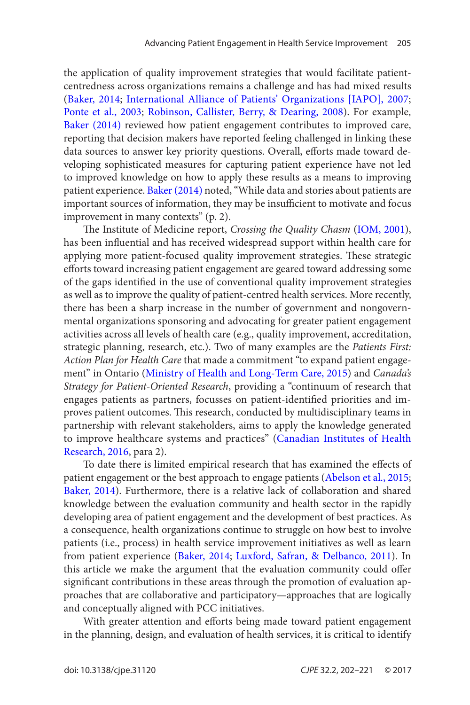<span id="page-3-0"></span>the application of quality improvement strategies that would facilitate patientcentredness across organizations remains a challenge and has had mixed results ([Baker, 2014](#page-16-0); [International Alliance of Patients' Organizations \[IAPO\], 2007](#page-17-0); [Ponte et al., 2003](#page-18-0); [Robinson, Callister, Berry, & Dearing, 2008](#page-18-0)). For example, [Baker \(2014\)](#page-16-0) reviewed how patient engagement contributes to improved care, reporting that decision makers have reported feeling challenged in linking these data sources to answer key priority questions. Overall, efforts made toward developing sophisticated measures for capturing patient experience have not led to improved knowledge on how to apply these results as a means to improving patient experience. [Baker \(2014\)](#page-16-0) noted, "While data and stories about patients are important sources of information, they may be insufficient to motivate and focus improvement in many contexts" (p. 2).

The Institute of Medicine report, *Crossing the Quality Chasm* ([IOM, 2001](#page-17-0)), has been influential and has received widespread support within health care for applying more patient-focused quality improvement strategies. These strategic efforts toward increasing patient engagement are geared toward addressing some of the gaps identified in the use of conventional quality improvement strategies as well as to improve the quality of patient-centred health services. More recently, there has been a sharp increase in the number of government and nongovernmental organizations sponsoring and advocating for greater patient engagement activities across all levels of health care (e.g., quality improvement, accreditation, strategic planning, research, etc.). Two of many examples are the *Patients First: Action Plan for Health Care* that made a commitment "to expand patient engagement" in Ontario ([Ministry of Health and Long-Term Care, 2015](#page-18-0)) and *Canada's Strategy for Patient-Oriented Research*, providing a "continuum of research that engages patients as partners, focusses on patient-identified priorities and improves patient outcomes. This research, conducted by multidisciplinary teams in partnership with relevant stakeholders, aims to apply the knowledge generated to improve healthcare systems and practices" ([Canadian Institutes of Health](#page-16-0) [Research, 2016](#page-16-0), para 2).

To date there is limited empirical research that has examined the effects of patient engagement or the best approach to engage patients ([Abelson et al., 2015](#page-15-0); [Baker, 2014\)](#page-16-0). Furthermore, there is a relative lack of collaboration and shared knowledge between the evaluation community and health sector in the rapidly developing area of patient engagement and the development of best practices. As a consequence, health organizations continue to struggle on how best to involve patients (i.e., process) in health service improvement initiatives as well as learn from patient experience ([Baker, 2014](#page-16-0); [Luxford, Safran, & Delbanco, 2011](#page-18-0)). In this article we make the argument that the evaluation community could offer significant contributions in these areas through the promotion of evaluation approaches that are collaborative and participatory—approaches that are logically and conceptually aligned with PCC initiatives.

With greater attention and efforts being made toward patient engagement in the planning, design, and evaluation of health services, it is critical to identify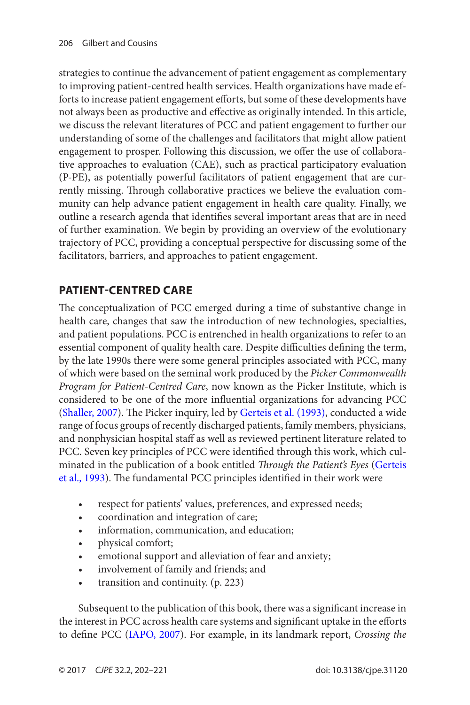<span id="page-4-0"></span>strategies to continue the advancement of patient engagement as complementary to improving patient-centred health services. Health organizations have made efforts to increase patient engagement efforts, but some of these developments have not always been as productive and effective as originally intended. In this article, we discuss the relevant literatures of PCC and patient engagement to further our understanding of some of the challenges and facilitators that might allow patient engagement to prosper. Following this discussion, we offer the use of collaborative approaches to evaluation (CAE), such as practical participatory evaluation (P-PE), as potentially powerful facilitators of patient engagement that are currently missing. Through collaborative practices we believe the evaluation community can help advance patient engagement in health care quality. Finally, we outline a research agenda that identifies several important areas that are in need of further examination. We begin by providing an overview of the evolutionary trajectory of PCC, providing a conceptual perspective for discussing some of the facilitators, barriers, and approaches to patient engagement.

# **Patient-Centred Care**

The conceptualization of PCC emerged during a time of substantive change in health care, changes that saw the introduction of new technologies, specialties, and patient populations. PCC is entrenched in health organizations to refer to an essential component of quality health care. Despite difficulties defining the term, by the late 1990s there were some general principles associated with PCC, many of which were based on the seminal work produced by the *Picker Commonwealth Program for Patient-Centred Care*, now known as the Picker Institute, which is considered to be one of the more influential organizations for advancing PCC ([Shaller, 2007](#page-18-0)). The Picker inquiry, led by [Gerteis et al. \(1993\)](#page-17-0), conducted a wide range of focus groups of recently discharged patients, family members, physicians, and nonphysician hospital staff as well as reviewed pertinent literature related to PCC. Seven key principles of PCC were identified through this work, which culminated in the publication of a book entitled *Through the Patient's Eyes* ([Gerteis](#page-17-0) [et al., 1993](#page-17-0)). The fundamental PCC principles identified in their work were

- • respect for patients' values, preferences, and expressed needs;
- • coordination and integration of care;
- information, communication, and education;
- physical comfort;
- emotional support and alleviation of fear and anxiety;
- • involvement of family and friends; and
- transition and continuity. (p. 223)

Subsequent to the publication of this book, there was a significant increase in the interest in PCC across health care systems and significant uptake in the efforts to define PCC [\(IAPO, 2007\)](#page-17-0). For example, in its landmark report, *Crossing the*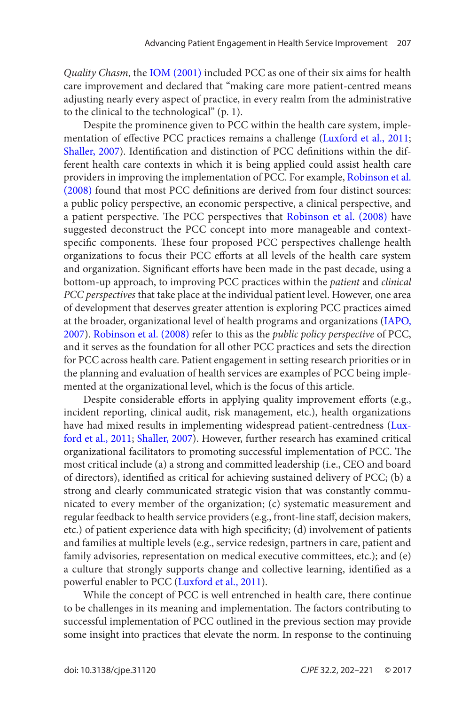*Quality Chasm*, the [IOM \(2001\)](#page-17-0) included PCC as one of their six aims for health care improvement and declared that "making care more patient-centred means adjusting nearly every aspect of practice, in every realm from the administrative to the clinical to the technological" (p. 1).

Despite the prominence given to PCC within the health care system, implementation of effective PCC practices remains a challenge ([Luxford et al., 2011](#page-18-0); [Shaller, 2007\)](#page-18-0). Identification and distinction of PCC definitions within the different health care contexts in which it is being applied could assist health care providers in improving the implementation of PCC. For example, [Robinson et al.](#page-18-0) [\(2008\)](#page-18-0) found that most PCC definitions are derived from four distinct sources: a public policy perspective, an economic perspective, a clinical perspective, and a patient perspective. The PCC perspectives that [Robinson et al. \(2008\)](#page-18-0) have suggested deconstruct the PCC concept into more manageable and contextspecific components. These four proposed PCC perspectives challenge health organizations to focus their PCC efforts at all levels of the health care system and organization. Significant efforts have been made in the past decade, using a bottom-up approach, to improving PCC practices within the *patient* and *clinical PCC perspectives* that take place at the individual patient level. However, one area of development that deserves greater attention is exploring PCC practices aimed at the broader, organizational level of health programs and organizations [\(IAPO,](#page-17-0) [2007](#page-17-0)). [Robinson et al. \(2008\)](#page-18-0) refer to this as the *public policy perspective* of PCC, and it serves as the foundation for all other PCC practices and sets the direction for PCC across health care. Patient engagement in setting research priorities or in the planning and evaluation of health services are examples of PCC being implemented at the organizational level, which is the focus of this article.

Despite considerable efforts in applying quality improvement efforts (e.g., incident reporting, clinical audit, risk management, etc.), health organizations have had mixed results in implementing widespread patient-centredness ([Lux](#page-18-0)[ford et al., 2011](#page-18-0); [Shaller, 2007](#page-18-0)). However, further research has examined critical organizational facilitators to promoting successful implementation of PCC. The most critical include (a) a strong and committed leadership (i.e., CEO and board of directors), identified as critical for achieving sustained delivery of PCC; (b) a strong and clearly communicated strategic vision that was constantly communicated to every member of the organization; (c) systematic measurement and regular feedback to health service providers (e.g., front-line staff, decision makers, etc.) of patient experience data with high specificity; (d) involvement of patients and families at multiple levels (e.g., service redesign, partners in care, patient and family advisories, representation on medical executive committees, etc.); and (e) a culture that strongly supports change and collective learning, identified as a powerful enabler to PCC ([Luxford et al., 2011](#page-18-0)).

While the concept of PCC is well entrenched in health care, there continue to be challenges in its meaning and implementation. The factors contributing to successful implementation of PCC outlined in the previous section may provide some insight into practices that elevate the norm. In response to the continuing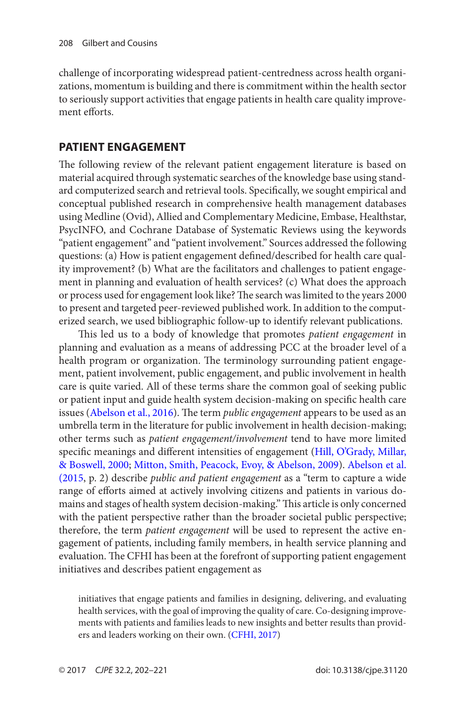<span id="page-6-0"></span>challenge of incorporating widespread patient-centredness across health organizations, momentum is building and there is commitment within the health sector to seriously support activities that engage patients in health care quality improvement efforts.

# **Patient Engagement**

The following review of the relevant patient engagement literature is based on material acquired through systematic searches of the knowledge base using standard computerized search and retrieval tools. Specifically, we sought empirical and conceptual published research in comprehensive health management databases using Medline (Ovid), Allied and Complementary Medicine, Embase, Healthstar, PsycINFO, and Cochrane Database of Systematic Reviews using the keywords "patient engagement" and "patient involvement." Sources addressed the following questions: (a) How is patient engagement defined/described for health care quality improvement? (b) What are the facilitators and challenges to patient engagement in planning and evaluation of health services? (c) What does the approach or process used for engagement look like? The search was limited to the years 2000 to present and targeted peer-reviewed published work. In addition to the computerized search, we used bibliographic follow-up to identify relevant publications.

This led us to a body of knowledge that promotes *patient engagement* in planning and evaluation as a means of addressing PCC at the broader level of a health program or organization. The terminology surrounding patient engagement, patient involvement, public engagement, and public involvement in health care is quite varied. All of these terms share the common goal of seeking public or patient input and guide health system decision-making on specific health care issues ([Abelson et al., 2016](#page-15-0)). The term *public engagement* appears to be used as an umbrella term in the literature for public involvement in health decision-making; other terms such as *patient engagement/involvement* tend to have more limited specific meanings and different intensities of engagement ([Hill, O'Grady, Millar,](#page-17-0) [& Boswell, 2000](#page-17-0); [Mitton, Smith, Peacock, Evoy, & Abelson, 2009](#page-18-0)). [Abelson et al.](#page-15-0) [\(2015](#page-15-0), p. 2) describe *public and patient engagement* as a "term to capture a wide range of efforts aimed at actively involving citizens and patients in various domains and stages of health system decision-making." This article is only concerned with the patient perspective rather than the broader societal public perspective; therefore, the term *patient engagement* will be used to represent the active engagement of patients, including family members, in health service planning and evaluation. The CFHI has been at the forefront of supporting patient engagement initiatives and describes patient engagement as

initiatives that engage patients and families in designing, delivering, and evaluating health services, with the goal of improving the quality of care. Co-designing improvements with patients and families leads to new insights and better results than providers and leaders working on their own. ([CFHI, 2017](#page-16-0))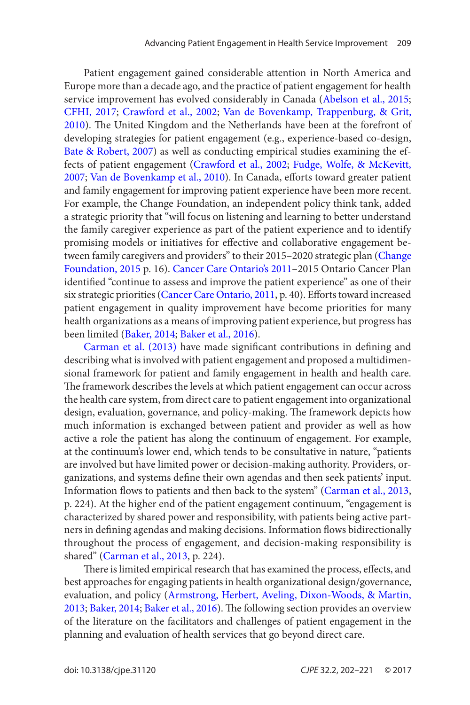<span id="page-7-0"></span>Patient engagement gained considerable attention in North America and Europe more than a decade ago, and the practice of patient engagement for health service improvement has evolved considerably in Canada ([Abelson et al., 2015](#page-15-0); [CFHI, 2017](#page-16-0); [Crawford et al., 2002](#page-17-0); [Van de Bovenkamp, Trappenburg, & Grit,](#page-19-0) [2010](#page-19-0)). The United Kingdom and the Netherlands have been at the forefront of developing strategies for patient engagement (e.g., experience-based co-design, [Bate & Robert, 2007](#page-16-0)) as well as conducting empirical studies examining the effects of patient engagement ([Crawford et al., 2002;](#page-17-0) [Fudge, Wolfe, & McKevitt,](#page-17-0) [2007](#page-17-0); [Van de Bovenkamp et al., 2010\)](#page-19-0). In Canada, efforts toward greater patient and family engagement for improving patient experience have been more recent. For example, the Change Foundation, an independent policy think tank, added a strategic priority that "will focus on listening and learning to better understand the family caregiver experience as part of the patient experience and to identify promising models or initiatives for effective and collaborative engagement between family caregivers and providers" to their 2015–2020 strategic plan (Change [Foundation, 2015](#page-16-0) p. 16). [Cancer Care Ontario's 2011](#page-16-0)–2015 Ontario Cancer Plan identified "continue to assess and improve the patient experience" as one of their six strategic priorities ([Cancer Care Ontario, 2011](#page-16-0), p. 40). Efforts toward increased patient engagement in quality improvement have become priorities for many health organizations as a means of improving patient experience, but progress has been limited ([Baker, 2014](#page-16-0); [Baker et al., 2016](#page-16-0)).

[Carman et al. \(2013\)](#page-16-0) have made significant contributions in defining and describing what is involved with patient engagement and proposed a multidimensional framework for patient and family engagement in health and health care. The framework describes the levels at which patient engagement can occur across the health care system, from direct care to patient engagement into organizational design, evaluation, governance, and policy-making. The framework depicts how much information is exchanged between patient and provider as well as how active a role the patient has along the continuum of engagement. For example, at the continuum's lower end, which tends to be consultative in nature, "patients are involved but have limited power or decision-making authority. Providers, organizations, and systems define their own agendas and then seek patients' input. Information flows to patients and then back to the system" ([Carman et al., 2013,](#page-16-0) p. 224). At the higher end of the patient engagement continuum, "engagement is characterized by shared power and responsibility, with patients being active partners in defining agendas and making decisions. Information flows bidirectionally throughout the process of engagement, and decision-making responsibility is shared" ([Carman et al., 2013](#page-16-0), p. 224).

There is limited empirical research that has examined the process, effects, and best approaches for engaging patients in health organizational design/governance, evaluation, and policy ([Armstrong, Herbert, Aveling, Dixon-Woods, & Martin,](#page-16-0)  [2013](#page-16-0); [Baker, 2014](#page-16-0); [Baker et al., 2016\)](#page-16-0). The following section provides an overview of the literature on the facilitators and challenges of patient engagement in the planning and evaluation of health services that go beyond direct care.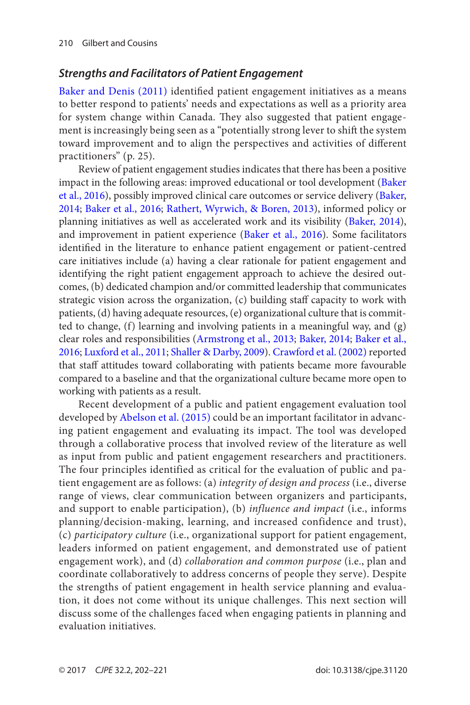#### <span id="page-8-0"></span>*Strengths and Facilitators of Patient Engagement*

[Baker and Denis \(2011\)](#page-16-0) identified patient engagement initiatives as a means to better respond to patients' needs and expectations as well as a priority area for system change within Canada. They also suggested that patient engagement is increasingly being seen as a "potentially strong lever to shift the system toward improvement and to align the perspectives and activities of different practitioners" (p. 25).

Review of patient engagement studies indicates that there has been a positive impact in the following areas: improved educational or tool development ([Baker](#page-16-0) [et al., 2016](#page-16-0)), possibly improved clinical care outcomes or service delivery ([Baker,](#page-16-0) [2014;](#page-16-0) [Baker et al., 2016](#page-16-0); [Rathert, Wyrwich, & Boren, 2013](#page-18-0)), informed policy or planning initiatives as well as accelerated work and its visibility ([Baker, 2014\)](#page-16-0), and improvement in patient experience ([Baker et al., 2016](#page-16-0)). Some facilitators identified in the literature to enhance patient engagement or patient-centred care initiatives include (a) having a clear rationale for patient engagement and identifying the right patient engagement approach to achieve the desired outcomes, (b) dedicated champion and/or committed leadership that communicates strategic vision across the organization, (c) building staff capacity to work with patients, (d) having adequate resources, (e) organizational culture that is committed to change, (f) learning and involving patients in a meaningful way, and (g) clear roles and responsibilities ([Armstrong et al., 2013](#page-16-0); [Baker, 2014;](#page-16-0) [Baker et al.,](#page-16-0) [2016](#page-16-0); [Luxford et al., 2011](#page-18-0); [Shaller & Darby, 2009](#page-18-0)). [Crawford et al. \(2002\)](#page-17-0) reported that staff attitudes toward collaborating with patients became more favourable compared to a baseline and that the organizational culture became more open to working with patients as a result.

Recent development of a public and patient engagement evaluation tool developed by [Abelson et al. \(2015\)](#page-15-0) could be an important facilitator in advancing patient engagement and evaluating its impact. The tool was developed through a collaborative process that involved review of the literature as well as input from public and patient engagement researchers and practitioners. The four principles identified as critical for the evaluation of public and patient engagement are as follows: (a) *integrity of design and process* (i.e., diverse range of views, clear communication between organizers and participants, and support to enable participation), (b) *influence and impact* (i.e., informs planning/decision-making, learning, and increased confidence and trust), (c) *participatory culture* (i.e., organizational support for patient engagement, leaders informed on patient engagement, and demonstrated use of patient engagement work), and (d) *collaboration and common purpose* (i.e., plan and coordinate collaboratively to address concerns of people they serve). Despite the strengths of patient engagement in health service planning and evaluation, it does not come without its unique challenges. This next section will discuss some of the challenges faced when engaging patients in planning and evaluation initiatives.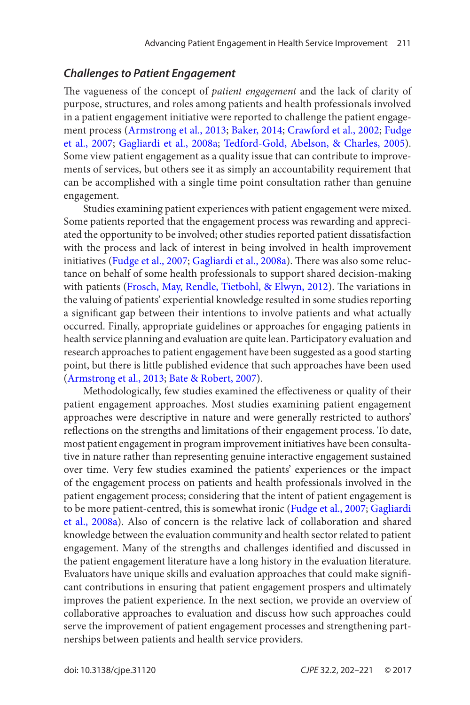#### <span id="page-9-0"></span>*Challenges to Patient Engagement*

The vagueness of the concept of *patient engagement* and the lack of clarity of purpose, structures, and roles among patients and health professionals involved in a patient engagement initiative were reported to challenge the patient engagement process ([Armstrong et al., 2013](#page-16-0); [Baker, 2014;](#page-16-0) [Crawford et al., 2002](#page-17-0); [Fudge](#page-17-0) [et al., 2007;](#page-17-0) [Gagliardi et al., 2008a](#page-17-0); [Tedford-Gold, Abelson, & Charles, 2005](#page-19-0)). Some view patient engagement as a quality issue that can contribute to improvements of services, but others see it as simply an accountability requirement that can be accomplished with a single time point consultation rather than genuine engagement.

Studies examining patient experiences with patient engagement were mixed. Some patients reported that the engagement process was rewarding and appreciated the opportunity to be involved; other studies reported patient dissatisfaction with the process and lack of interest in being involved in health improvement initiatives [\(Fudge et al., 2007](#page-17-0); [Gagliardi et al., 2008a](#page-17-0)). There was also some reluctance on behalf of some health professionals to support shared decision-making with patients ([Frosch, May, Rendle, Tietbohl, & Elwyn, 2012](#page-17-0)). The variations in the valuing of patients' experiential knowledge resulted in some studies reporting a significant gap between their intentions to involve patients and what actually occurred. Finally, appropriate guidelines or approaches for engaging patients in health service planning and evaluation are quite lean. Participatory evaluation and research approaches to patient engagement have been suggested as a good starting point, but there is little published evidence that such approaches have been used ([Armstrong et al., 2013](#page-16-0); [Bate & Robert, 2007](#page-16-0)).

Methodologically, few studies examined the effectiveness or quality of their patient engagement approaches. Most studies examining patient engagement approaches were descriptive in nature and were generally restricted to authors' reflections on the strengths and limitations of their engagement process. To date, most patient engagement in program improvement initiatives have been consultative in nature rather than representing genuine interactive engagement sustained over time. Very few studies examined the patients' experiences or the impact of the engagement process on patients and health professionals involved in the patient engagement process; considering that the intent of patient engagement is to be more patient-centred, this is somewhat ironic ([Fudge et al., 2007](#page-17-0); [Gagliardi](#page-17-0) [et al., 2008a](#page-17-0)). Also of concern is the relative lack of collaboration and shared knowledge between the evaluation community and health sector related to patient engagement. Many of the strengths and challenges identified and discussed in the patient engagement literature have a long history in the evaluation literature. Evaluators have unique skills and evaluation approaches that could make significant contributions in ensuring that patient engagement prospers and ultimately improves the patient experience. In the next section, we provide an overview of collaborative approaches to evaluation and discuss how such approaches could serve the improvement of patient engagement processes and strengthening partnerships between patients and health service providers.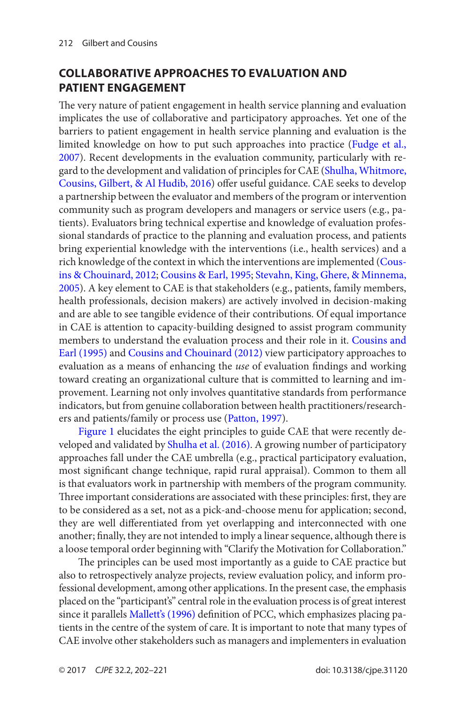# <span id="page-10-0"></span>**Collaborative Approaches to Evaluation and Patient Engagement**

The very nature of patient engagement in health service planning and evaluation implicates the use of collaborative and participatory approaches. Yet one of the barriers to patient engagement in health service planning and evaluation is the limited knowledge on how to put such approaches into practice ([Fudge et al.,](#page-17-0) [2007](#page-17-0)). Recent developments in the evaluation community, particularly with regard to the development and validation of principles for CAE (Shulha, Whitmore, [Cousins, Gilbert, & Al Hudib, 2016](#page-18-0)) offer useful guidance. CAE seeks to develop a partnership between the evaluator and members of the program or intervention community such as program developers and managers or service users (e.g., patients). Evaluators bring technical expertise and knowledge of evaluation professional standards of practice to the planning and evaluation process, and patients bring experiential knowledge with the interventions (i.e., health services) and a rich knowledge of the context in which the interventions are implemented ([Cous](#page-16-0)[ins & Chouinard, 2012](#page-16-0); [Cousins & Earl, 1995](#page-16-0); [Stevahn, King, Ghere, & Minnema,](#page-18-0) [2005](#page-18-0)). A key element to CAE is that stakeholders (e.g., patients, family members, health professionals, decision makers) are actively involved in decision-making and are able to see tangible evidence of their contributions. Of equal importance in CAE is attention to capacity-building designed to assist program community members to understand the evaluation process and their role in it. [Cousins and](#page-16-0) [Earl \(1995\)](#page-16-0) and [Cousins and Chouinard \(2012\)](#page-16-0) view participatory approaches to evaluation as a means of enhancing the *use* of evaluation findings and working toward creating an organizational culture that is committed to learning and improvement. Learning not only involves quantitative standards from performance indicators, but from genuine collaboration between health practitioners/researchers and patients/family or process use [\(Patton, 1997](#page-18-0)).

[Figure 1](#page-11-0) elucidates the eight principles to guide CAE that were recently de-veloped and validated by [Shulha et al. \(2016\)](#page-18-0). A growing number of participatory approaches fall under the CAE umbrella (e.g., practical participatory evaluation, most significant change technique, rapid rural appraisal). Common to them all is that evaluators work in partnership with members of the program community. Three important considerations are associated with these principles: first, they are to be considered as a set, not as a pick-and-choose menu for application; second, they are well differentiated from yet overlapping and interconnected with one another; finally, they are not intended to imply a linear sequence, although there is a loose temporal order beginning with "Clarify the Motivation for Collaboration."

The principles can be used most importantly as a guide to CAE practice but also to retrospectively analyze projects, review evaluation policy, and inform professional development, among other applications. In the present case, the emphasis placed on the "participant's" central role in the evaluation process is of great interest since it parallels [Mallett's \(1996\)](#page-18-0) definition of PCC, which emphasizes placing patients in the centre of the system of care. It is important to note that many types of CAE involve other stakeholders such as managers and implementers in evaluation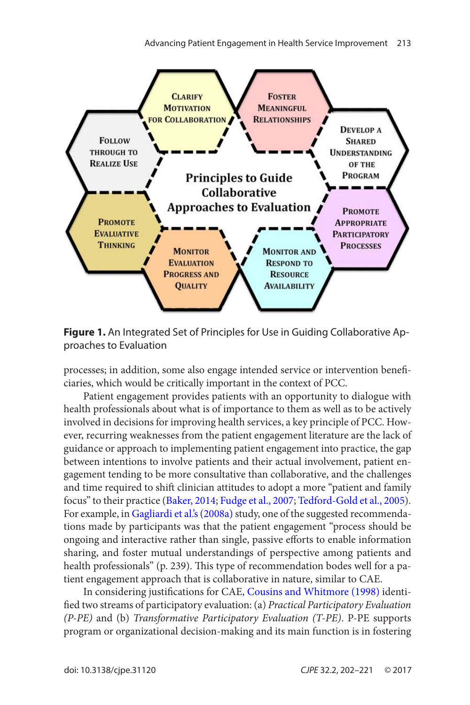<span id="page-11-0"></span>

**Figure 1.** An Integrated Set of Principles for Use in Guiding Collaborative Approaches to Evaluation

processes; in addition, some also engage intended service or intervention beneficiaries, which would be critically important in the context of PCC.

Patient engagement provides patients with an opportunity to dialogue with health professionals about what is of importance to them as well as to be actively involved in decisions for improving health services, a key principle of PCC. However, recurring weaknesses from the patient engagement literature are the lack of guidance or approach to implementing patient engagement into practice, the gap between intentions to involve patients and their actual involvement, patient engagement tending to be more consultative than collaborative, and the challenges and time required to shift clinician attitudes to adopt a more "patient and family focus" to their practice ([Baker, 2014](#page-16-0); [Fudge et al., 2007;](#page-17-0) [Tedford-Gold et al., 2005](#page-19-0)). For example, in [Gagliardi et al.'s \(2008a\)](#page-17-0) study, one of the suggested recommendations made by participants was that the patient engagement "process should be ongoing and interactive rather than single, passive efforts to enable information sharing, and foster mutual understandings of perspective among patients and health professionals" (p. 239). This type of recommendation bodes well for a patient engagement approach that is collaborative in nature, similar to CAE.

In considering justifications for CAE, [Cousins and Whitmore \(1998\)](#page-16-0) identified two streams of participatory evaluation: (a) *Practical Participatory Evaluation (P-PE)* and (b) *Transformative Participatory Evaluation (T-PE)*. P-PE supports program or organizational decision-making and its main function is in fostering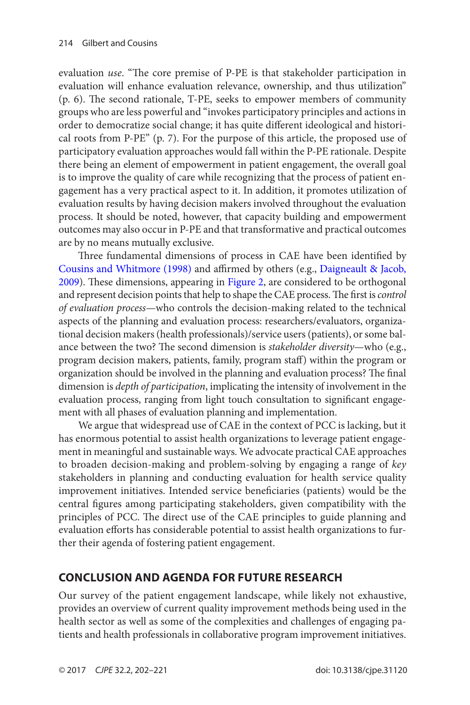<span id="page-12-0"></span>evaluation *use*. "The core premise of P-PE is that stakeholder participation in evaluation will enhance evaluation relevance, ownership, and thus utilization" (p. 6). The second rationale, T-PE, seeks to empower members of community groups who are less powerful and "invokes participatory principles and actions in order to democratize social change; it has quite different ideological and historical roots from P-PE" (p. 7). For the purpose of this article, the proposed use of participatory evaluation approaches would fall within the P-PE rationale. Despite there being an element of empowerment in patient engagement, the overall goal is to improve the quality of care while recognizing that the process of patient engagement has a very practical aspect to it. In addition, it promotes utilization of evaluation results by having decision makers involved throughout the evaluation process. It should be noted, however, that capacity building and empowerment outcomes may also occur in P-PE and that transformative and practical outcomes are by no means mutually exclusive.

Three fundamental dimensions of process in CAE have been identified by [Cousins and Whitmore \(1998\)](#page-16-0) and affirmed by others (e.g., [Daigneault & Jacob,](#page-17-0) [2009\)](#page-17-0). These dimensions, appearing in [Figure 2](#page-13-0), are considered to be orthogonal and represent decision points that help to shape the CAE process. The first is *control of evaluation process*—who controls the decision-making related to the technical aspects of the planning and evaluation process: researchers/evaluators, organizational decision makers (health professionals)/service users (patients), or some balance between the two? The second dimension is *stakeholder diversity*—who (e.g., program decision makers, patients, family, program staff) within the program or organization should be involved in the planning and evaluation process? The final dimension is *depth of participation*, implicating the intensity of involvement in the evaluation process, ranging from light touch consultation to significant engagement with all phases of evaluation planning and implementation.

We argue that widespread use of CAE in the context of PCC is lacking, but it has enormous potential to assist health organizations to leverage patient engagement in meaningful and sustainable ways. We advocate practical CAE approaches to broaden decision-making and problem-solving by engaging a range of *key* stakeholders in planning and conducting evaluation for health service quality improvement initiatives. Intended service beneficiaries (patients) would be the central figures among participating stakeholders, given compatibility with the principles of PCC. The direct use of the CAE principles to guide planning and evaluation efforts has considerable potential to assist health organizations to further their agenda of fostering patient engagement.

# **Conclusion and Agenda for Future Research**

Our survey of the patient engagement landscape, while likely not exhaustive, provides an overview of current quality improvement methods being used in the health sector as well as some of the complexities and challenges of engaging patients and health professionals in collaborative program improvement initiatives.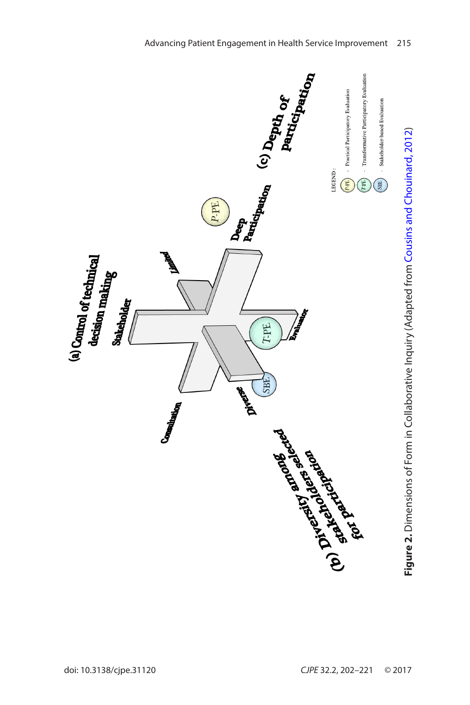<span id="page-13-0"></span>

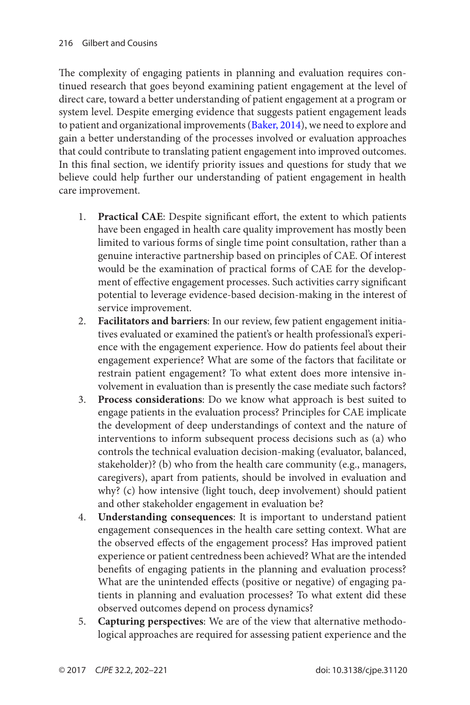The complexity of engaging patients in planning and evaluation requires continued research that goes beyond examining patient engagement at the level of direct care, toward a better understanding of patient engagement at a program or system level. Despite emerging evidence that suggests patient engagement leads to patient and organizational improvements [\(Baker, 2014\)](#page-16-0), we need to explore and gain a better understanding of the processes involved or evaluation approaches that could contribute to translating patient engagement into improved outcomes. In this final section, we identify priority issues and questions for study that we believe could help further our understanding of patient engagement in health care improvement.

- 1. **Practical CAE**: Despite significant effort, the extent to which patients have been engaged in health care quality improvement has mostly been limited to various forms of single time point consultation, rather than a genuine interactive partnership based on principles of CAE. Of interest would be the examination of practical forms of CAE for the development of effective engagement processes. Such activities carry significant potential to leverage evidence-based decision-making in the interest of service improvement.
- 2. **Facilitators and barriers**: In our review, few patient engagement initiatives evaluated or examined the patient's or health professional's experience with the engagement experience. How do patients feel about their engagement experience? What are some of the factors that facilitate or restrain patient engagement? To what extent does more intensive involvement in evaluation than is presently the case mediate such factors?
- 3. **Process considerations**: Do we know what approach is best suited to engage patients in the evaluation process? Principles for CAE implicate the development of deep understandings of context and the nature of interventions to inform subsequent process decisions such as (a) who controls the technical evaluation decision-making (evaluator, balanced, stakeholder)? (b) who from the health care community (e.g., managers, caregivers), apart from patients, should be involved in evaluation and why? (c) how intensive (light touch, deep involvement) should patient and other stakeholder engagement in evaluation be?
- 4. **Understanding consequences**: It is important to understand patient engagement consequences in the health care setting context. What are the observed effects of the engagement process? Has improved patient experience or patient centredness been achieved? What are the intended benefits of engaging patients in the planning and evaluation process? What are the unintended effects (positive or negative) of engaging patients in planning and evaluation processes? To what extent did these observed outcomes depend on process dynamics?
- 5. **Capturing perspectives**: We are of the view that alternative methodological approaches are required for assessing patient experience and the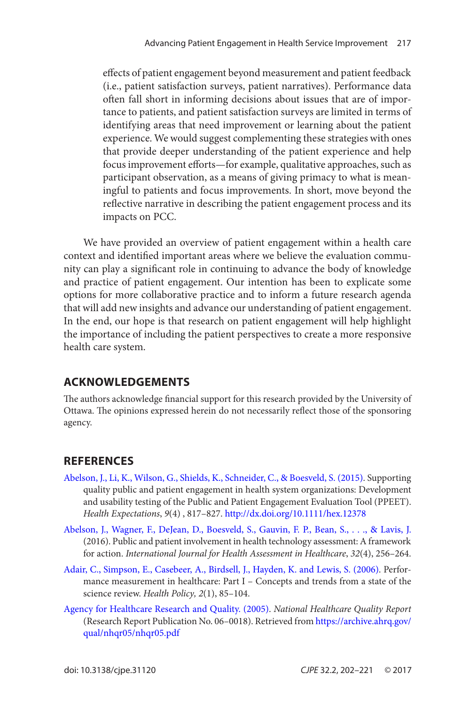<span id="page-15-0"></span>effects of patient engagement beyond measurement and patient feedback (i.e., patient satisfaction surveys, patient narratives). Performance data often fall short in informing decisions about issues that are of importance to patients, and patient satisfaction surveys are limited in terms of identifying areas that need improvement or learning about the patient experience. We would suggest complementing these strategies with ones that provide deeper understanding of the patient experience and help focus improvement efforts—for example, qualitative approaches, such as participant observation, as a means of giving primacy to what is meaningful to patients and focus improvements. In short, move beyond the reflective narrative in describing the patient engagement process and its impacts on PCC.

We have provided an overview of patient engagement within a health care context and identified important areas where we believe the evaluation community can play a significant role in continuing to advance the body of knowledge and practice of patient engagement. Our intention has been to explicate some options for more collaborative practice and to inform a future research agenda that will add new insights and advance our understanding of patient engagement. In the end, our hope is that research on patient engagement will help highlight the importance of including the patient perspectives to create a more responsive health care system.

# **Acknowledgements**

The authors acknowledge financial support for this research provided by the University of Ottawa. The opinions expressed herein do not necessarily reflect those of the sponsoring agency.

# **References**

- [Abelson, J., Li, K., Wilson, G., Shields, K., Schneider, C., & Boesveld, S. \(2015\)](#page-3-0). Supporting quality public and patient engagement in health system organizations: Development and usability testing of the Public and Patient Engagement Evaluation Tool (PPEET). *Health Expectations*, *9*(4) , 817–827. <http://dx.doi.org/10.1111/hex.12378>
- [Abelson, J., Wagner, F., DeJean, D., Boesveld, S., Gauvin, F. P., Bean, S., . . ., & Lavis, J.](#page-6-0) (2016). Public and patient involvement in health technology assessment: A framework for action. *International Journal for Health Assessment in Healthcare*, *32*(4), 256–264.
- [Adair, C., Simpson, E., Casebeer, A., Birdsell, J., Hayden, K. and Lewis, S. \(2006\)](#page-2-0). Performance measurement in healthcare: Part I – Concepts and trends from a state of the science review. *Health Policy, 2*(1), 85–104.
- [Agency for Healthcare Research and Quality. \(2005\)](#page-1-0). *National Healthcare Quality Report* (Research Report Publication No. 06–0018). Retrieved from [https://archive.ahrq.gov/](https://archive.ahrq.gov/qual/nhqr05/nhqr05.pdf) [qual/nhqr05/nhqr05.pdf](https://archive.ahrq.gov/qual/nhqr05/nhqr05.pdf)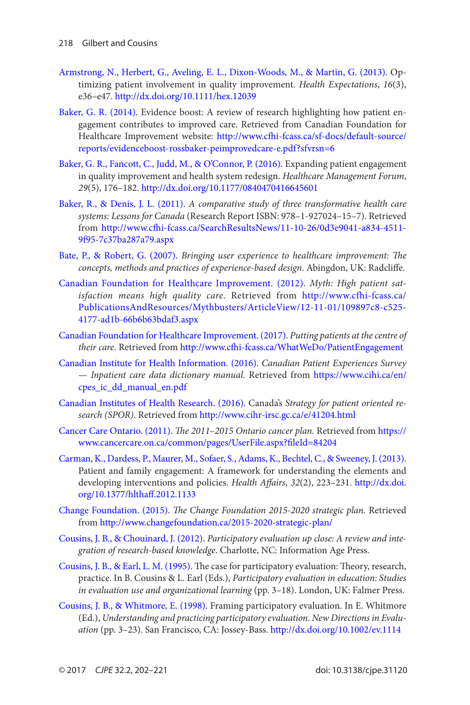- <span id="page-16-0"></span>[Armstrong, N., Herbert, G., Aveling, E. L., Dixon-Woods, M., & Martin, G. \(2013\).](#page-7-0) Optimizing patient involvement in quality improvement. *Health Expectations*, *16*(3), e36–e47. <http://dx.doi.org/10.1111/hex.12039>
- [Baker, G. R. \(2014\).](#page-1-0) Evidence boost: A review of research highlighting how patient engagement contributes to improved care. Retrieved from Canadian Foundation for Healthcare Improvement website: [http://www.cfhi-fcass.ca/sf-docs/default-source/](http://www.cfhi-fcass.ca/sf-docs/default-source/reports/evidenceboost-rossbaker-peimprovedcare-e.pdf?sfvrsn=6) [reports/evidenceboost-rossbaker-peimprovedcare-e.pdf?sfvrsn=6](http://www.cfhi-fcass.ca/sf-docs/default-source/reports/evidenceboost-rossbaker-peimprovedcare-e.pdf?sfvrsn=6)
- [Baker, G. R., Fancott, C., Judd, M., & O'Connor, P. \(2016\).](#page-2-0) Expanding patient engagement in quality improvement and health system redesign. *Healthcare Management Forum*, *29*(5), 176–182. <http://dx.doi.org/10.1177/0840470416645601>
- [Baker, R., & Denis, J. L. \(2011\).](#page-8-0) *A comparative study of three transformative health care systems: Lessons for Canada* (Research Report ISBN: 978–1-927024–15–7). Retrieved from [http://www.cfhi-fcass.ca/SearchResultsNews/11-10-26/0d3e9041-a834-4511-](http://www.cfhi-fcass.ca/SearchResultsNews/11-10-26/0d3e9041-a834-4511-9f95-7c37ba287a79.aspx) [9f95-7c37ba287a79.aspx](http://www.cfhi-fcass.ca/SearchResultsNews/11-10-26/0d3e9041-a834-4511-9f95-7c37ba287a79.aspx)
- [Bate, P., & Robert, G. \(2007\).](#page-7-0) *Bringing user experience to healthcare improvement: The concepts, methods and practices of experience-based design*. Abingdon, UK: Radcliffe.
- [Canadian Foundation for Healthcare Improvement. \(2012\).](#page-1-0) *Myth: High patient satisfaction means high quality care*. Retrieved from [http://www.cfhi-fcass.ca/](http://www.cfhi-fcass.ca/PublicationsAndResources/Mythbusters/ArticleView/12-11-01/109897c8-c525-4177-ad1b-66b6b63bdaf3.aspx) [PublicationsAndResources/Mythbusters/ArticleView/12-11-01/109897c8-c525-](http://www.cfhi-fcass.ca/PublicationsAndResources/Mythbusters/ArticleView/12-11-01/109897c8-c525-4177-ad1b-66b6b63bdaf3.aspx) [4177-ad1b-66b6b63bdaf3.aspx](http://www.cfhi-fcass.ca/PublicationsAndResources/Mythbusters/ArticleView/12-11-01/109897c8-c525-4177-ad1b-66b6b63bdaf3.aspx)
- [Canadian Foundation for Healthcare Improvement. \(2017\).](#page-6-0) *Putting patients at the centre of their care.* Retrieved from <http://www.cfhi-fcass.ca/WhatWeDo/PatientEngagement>
- [Canadian Institute for Health Information. \(2016\).](#page-2-0) *Canadian Patient Experiences Survey — Inpatient care data dictionary manual.* Retrieved from [https://www.cihi.ca/en/](https://www.cihi.ca/en/cpes_ic_dd_manual_en.pdf) [cpes\\_ic\\_dd\\_manual\\_en.pdf](https://www.cihi.ca/en/cpes_ic_dd_manual_en.pdf)
- [Canadian Institutes of Health Research. \(2016\).](#page-3-0) Canada's *Strategy for patient oriented research (SPOR)*. Retrieved from <http://www.cihr-irsc.gc.ca/e/41204.html>
- [Cancer Care Ontario. \(2011\).](#page-7-0) *The 2011–2015 Ontario cancer plan.* Retrieved from [https://](https://www.cancercare.on.ca/common/pages/UserFile.aspx?fileId=84204) [www.cancercare.on.ca/common/pages/UserFile.aspx?fileId=84204](https://www.cancercare.on.ca/common/pages/UserFile.aspx?fileId=84204)
- [Carman, K., Dardess, P., Maurer, M., Sofaer, S., Adams, K., Bechtel, C., & Sweeney, J. \(2013\).](#page-7-0) Patient and family engagement: A framework for understanding the elements and developing interventions and policies. *Health Affairs*, *32*(2), 223–231. [http://dx.doi.](http://dx.doi.org/10.1377/hlthaff.2012.1133) [org/10.1377/hlthaff.2012.1133](http://dx.doi.org/10.1377/hlthaff.2012.1133)
- [Change Foundation. \(2015\).](#page-7-0) *The Change Foundation 2015-2020 strategic plan.* Retrieved from <http://www.changefoundation.ca/2015-2020-strategic-plan/>
- [Cousins, J. B., & Chouinard, J. \(2012\).](#page-10-0) *Participatory evaluation up close: A review and integration of research-based knowledge*. Charlotte, NC: Information Age Press.
- [Cousins, J. B., & Earl, L. M. \(1995\)](#page-10-0). The case for participatory evaluation: Theory, research, practice. In B. Cousins & L. Earl (Eds.), *Participatory evaluation in education: Studies in evaluation use and organizational learning* (pp. 3–18). London, UK: Falmer Press.
- [Cousins, J. B., & Whitmore, E. \(1998\).](#page-11-0) Framing participatory evaluation. In E. Whitmore (Ed.), *Understanding and practicing participatory evaluation. New Directions in Evaluation* (pp. 3–23). San Francisco, CA: Jossey-Bass. <http://dx.doi.org/10.1002/ev.1114>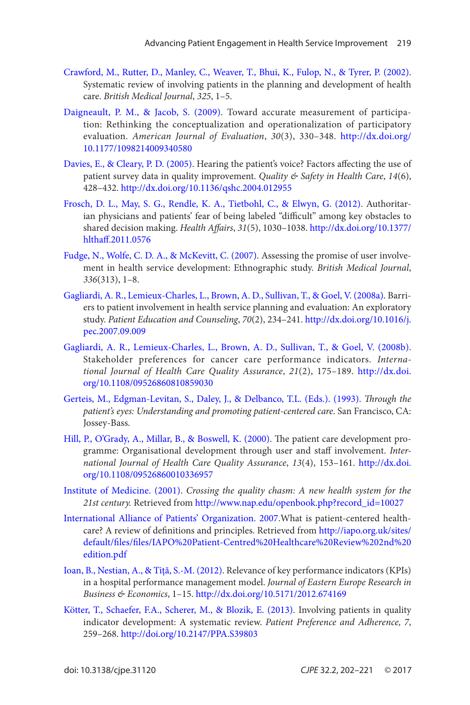- <span id="page-17-0"></span>[Crawford, M., Rutter, D., Manley, C., Weaver, T., Bhui, K., Fulop, N., & Tyrer, P. \(2002\)](#page-7-0). Systematic review of involving patients in the planning and development of health care. *British Medical Journal*, *325*, 1–5.
- [Daigneault, P. M., & Jacob, S. \(2009\).](#page-12-0) Toward accurate measurement of participation: Rethinking the conceptualization and operationalization of participatory evaluation. *American Journal of Evaluation*, *30*(3), 330–348. [http://dx.doi.org/](http://dx.doi.org/10.1177/1098214009340580) [10.1177/1098214009340580](http://dx.doi.org/10.1177/1098214009340580)
- [Davies, E., & Cleary, P. D. \(2005\)](#page-1-0). Hearing the patient's voice? Factors affecting the use of patient survey data in quality improvement. *Quality & Safety in Health Care*, *14*(6), 428–432.<http://dx.doi.org/10.1136/qshc.2004.012955>
- [Frosch, D. L., May, S. G., Rendle, K. A., Tietbohl, C., & Elwyn, G. \(2012\)](#page-9-0). Authoritarian physicians and patients' fear of being labeled "difficult" among key obstacles to shared decision making. *Health Affairs*, *31*(5), 1030–1038. [http://dx.doi.org/10.1377/](http://dx.doi.org/10.1377/hlthaff.2011.0576) [hlthaff.2011.0576](http://dx.doi.org/10.1377/hlthaff.2011.0576)
- [Fudge, N., Wolfe, C. D. A., & McKevitt, C. \(2007\)](#page-7-0). Assessing the promise of user involvement in health service development: Ethnographic study. *British Medical Journal*, *336*(313), 1–8.
- [Gagliardi, A. R., Lemieux-Charles, L., Brown, A. D., Sullivan, T., & Goel, V. \(2008a\)](#page-2-0). Barriers to patient involvement in health service planning and evaluation: An exploratory study. *Patient Education and Counseling*, *70*(2), 234–241. [http://dx.doi.org/10.1016/j.](http://dx.doi.org/10.1016/j.pec.2007.09.009) [pec.2007.09.009](http://dx.doi.org/10.1016/j.pec.2007.09.009)
- [Gagliardi, A. R., Lemieux-Charles, L., Brown, A. D., Sullivan, T., & Goel, V. \(2008b\)](#page-2-0). Stakeholder preferences for cancer care performance indicators. *International Journal of Health Care Quality Assurance*, *21*(2), 175–189. [http://dx.doi.](http://dx.doi.org/10.1108/09526860810859030) [org/10.1108/09526860810859030](http://dx.doi.org/10.1108/09526860810859030)
- [Gerteis, M., Edgman-Levitan, S., Daley, J., & Delbanco, T.L. \(Eds.\). \(1993\).](#page-1-0) *Through the patient's eyes: Understanding and promoting patient-centered care*. San Francisco, CA: Jossey-Bass.
- [Hill, P., O'Grady, A., Millar, B., & Boswell, K. \(2000\)](#page-6-0). The patient care development programme: Organisational development through user and staff involvement. *International Journal of Health Care Quality Assurance*, *13*(4), 153–161. [http://dx.doi.](http://dx.doi.org/10.1108/09526860010336957) [org/10.1108/09526860010336957](http://dx.doi.org/10.1108/09526860010336957)
- [Institute of Medicine. \(2001\).](#page-3-0) *Crossing the quality chasm: A new health system for the 21st century.* Retrieved from [http://www.nap.edu/openbook.php?record\\_id=10027](http://www.nap.edu/openbook.php?record_id=10027)
- [International Alliance of Patients' Organization. 2007](#page-3-0).What is patient-centered healthcare? A review of definitions and principles. Retrieved from [http://iapo.org.uk/sites/](http://iapo.org.uk/sites/default/files/files/IAPO%20Patient-Centred%20Healthcare%20Review%202nd%20edition.pdf) [default/files/files/IAPO%20Patient-Centred%20Healthcare%20Review%202nd%20](http://iapo.org.uk/sites/default/files/files/IAPO%20Patient-Centred%20Healthcare%20Review%202nd%20edition.pdf) [edition.pdf](http://iapo.org.uk/sites/default/files/files/IAPO%20Patient-Centred%20Healthcare%20Review%202nd%20edition.pdf)
- [Ioan, B., Nestian, A., & Tiţă, S.-M. \(2012\)](#page-2-0). Relevance of key performance indicators (KPIs) in a hospital performance management model. *Journal of Eastern Europe Research in Business & Economics*, 1–15. <http://dx.doi.org/10.5171/2012.674169>
- [Kötter, T., Schaefer, F.A., Scherer, M., & Blozik, E. \(2013\)](#page-2-0). Involving patients in quality indicator development: A systematic review. *Patient Preference and Adherence, 7*, 259–268.<http://doi.org/10.2147/PPA.S39803>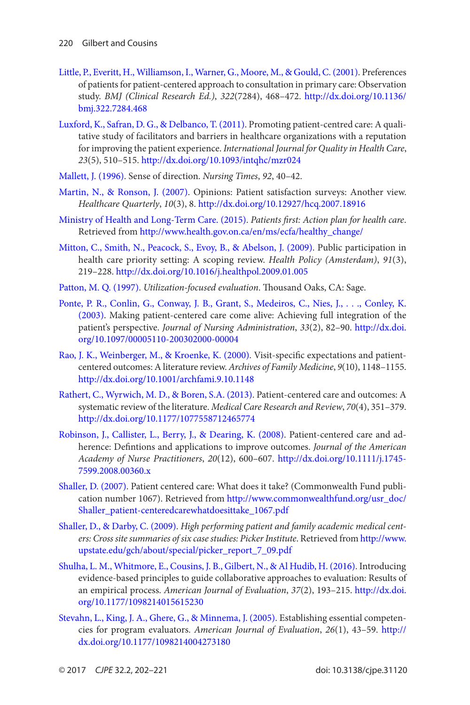- <span id="page-18-0"></span>[Little, P., Everitt, H., Williamson, I., Warner, G., Moore, M., & Gould, C. \(2001\)](#page-1-0). Preferences of patients for patient-centered approach to consultation in primary care: Observation study. *BMJ (Clinical Research Ed.)*, *322*(7284), 468–472. [http://dx.doi.org/10.1136/](http://dx.doi.org/10.1136/bmj.322.7284.468) [bmj.322.7284.468](http://dx.doi.org/10.1136/bmj.322.7284.468)
- [Luxford, K., Safran, D. G., & Delbanco, T. \(2011\)](#page-3-0). Promoting patient-centred care: A qualitative study of facilitators and barriers in healthcare organizations with a reputation for improving the patient experience. *International Journal for Quality in Health Care*, *23*(5), 510–515. <http://dx.doi.org/10.1093/intqhc/mzr024>
- [Mallett, J. \(1996\).](#page-10-0) Sense of direction. *Nursing Times*, *92*, 40–42.
- [Martin, N., & Ronson, J. \(2007\).](#page-1-0) Opinions: Patient satisfaction surveys: Another view. *Healthcare Quarterly*, *10*(3), 8.<http://dx.doi.org/10.12927/hcq.2007.18916>
- [Ministry of Health and Long-Term Care. \(2015\)](#page-3-0). *Patients first: Action plan for health care*. Retrieved from [http://www.health.gov.on.ca/en/ms/ecfa/healthy\\_change/](http://www.health.gov.on.ca/en/ms/ecfa/healthy_change/)
- [Mitton, C., Smith, N., Peacock, S., Evoy, B., & Abelson, J. \(2009\)](#page-6-0). Public participation in health care priority setting: A scoping review. *Health Policy (Amsterdam)*, *91*(3), 219–228. <http://dx.doi.org/10.1016/j.healthpol.2009.01.005>
- [Patton, M. Q. \(1997\)](#page-10-0). *Utilization-focused evaluation*. Thousand Oaks, CA: Sage.
- [Ponte, P. R., Conlin, G., Conway, J. B., Grant, S., Medeiros, C., Nies, J., . . ., Conley, K.](#page-3-0) [\(2003\)](#page-3-0). Making patient-centered care come alive: Achieving full integration of the patient's perspective. *Journal of Nursing Administration*, *33*(2), 82–90. [http://dx.doi.](http://dx.doi.org/10.1097/00005110-200302000-00004) [org/10.1097/00005110-200302000-00004](http://dx.doi.org/10.1097/00005110-200302000-00004)
- [Rao, J. K., Weinberger, M., & Kroenke, K. \(2000\).](#page-1-0) Visit-specific expectations and patientcentered outcomes: A literature review. *Archives of Family Medicine*, *9*(10), 1148–1155. <http://dx.doi.org/10.1001/archfami.9.10.1148>
- [Rathert, C., Wyrwich, M. D., & Boren, S.A. \(2013\).](#page-8-0) Patient-centered care and outcomes: A systematic review of the literature. *Medical Care Research and Review*, *70*(4), 351–379. <http://dx.doi.org/10.1177/1077558712465774>
- [Robinson, J., Callister, L., Berry, J., & Dearing, K. \(2008\)](#page-3-0). Patient-centered care and adherence: Defintions and applications to improve outcomes. *Journal of the American Academy of Nurse Practitioners*, *20*(12), 600–607. [http://dx.doi.org/10.1111/j.1745-](http://dx.doi.org/10.1111/j.1745-7599.2008.00360.x) [7599.2008.00360.x](http://dx.doi.org/10.1111/j.1745-7599.2008.00360.x)
- [Shaller, D. \(2007\)](#page-4-0). Patient centered care: What does it take? (Commonwealth Fund publication number 1067). Retrieved from [http://www.commonwealthfund.org/usr\\_doc/](http://www.commonwealthfund.org/usr_doc/Shaller_patient-centeredcarewhatdoesittake_1067.pdf) [Shaller\\_patient-centeredcarewhatdoesittake\\_1067.pdf](http://www.commonwealthfund.org/usr_doc/Shaller_patient-centeredcarewhatdoesittake_1067.pdf)
- [Shaller, D., & Darby, C. \(2009\).](#page-8-0) *High performing patient and family academic medical centers: Cross site summaries of six case studies: Picker Institute*. Retrieved from [http://www.](http://www.upstate.edu/gch/about/special/picker_report_7_09.pdf) [upstate.edu/gch/about/special/picker\\_report\\_7\\_09.pdf](http://www.upstate.edu/gch/about/special/picker_report_7_09.pdf)
- [Shulha, L. M., Whitmore, E., Cousins, J. B., Gilbert, N., & Al Hudib, H. \(2016\)](#page-10-0). Introducing evidence-based principles to guide collaborative approaches to evaluation: Results of an empirical process. *American Journal of Evaluation*, *37*(2), 193–215. [http://dx.doi.](http://dx.doi.org/10.1177/1098214015615230) [org/10.1177/1098214015615230](http://dx.doi.org/10.1177/1098214015615230)
- [Stevahn, L., King, J. A., Ghere, G., & Minnema, J. \(2005\)](#page-10-0). Establishing essential competencies for program evaluators. *American Journal of Evaluation*, *26*(1), 43–59. [http://](http://dx.doi.org/10.1177/1098214004273180) [dx.doi.org/10.1177/1098214004273180](http://dx.doi.org/10.1177/1098214004273180)